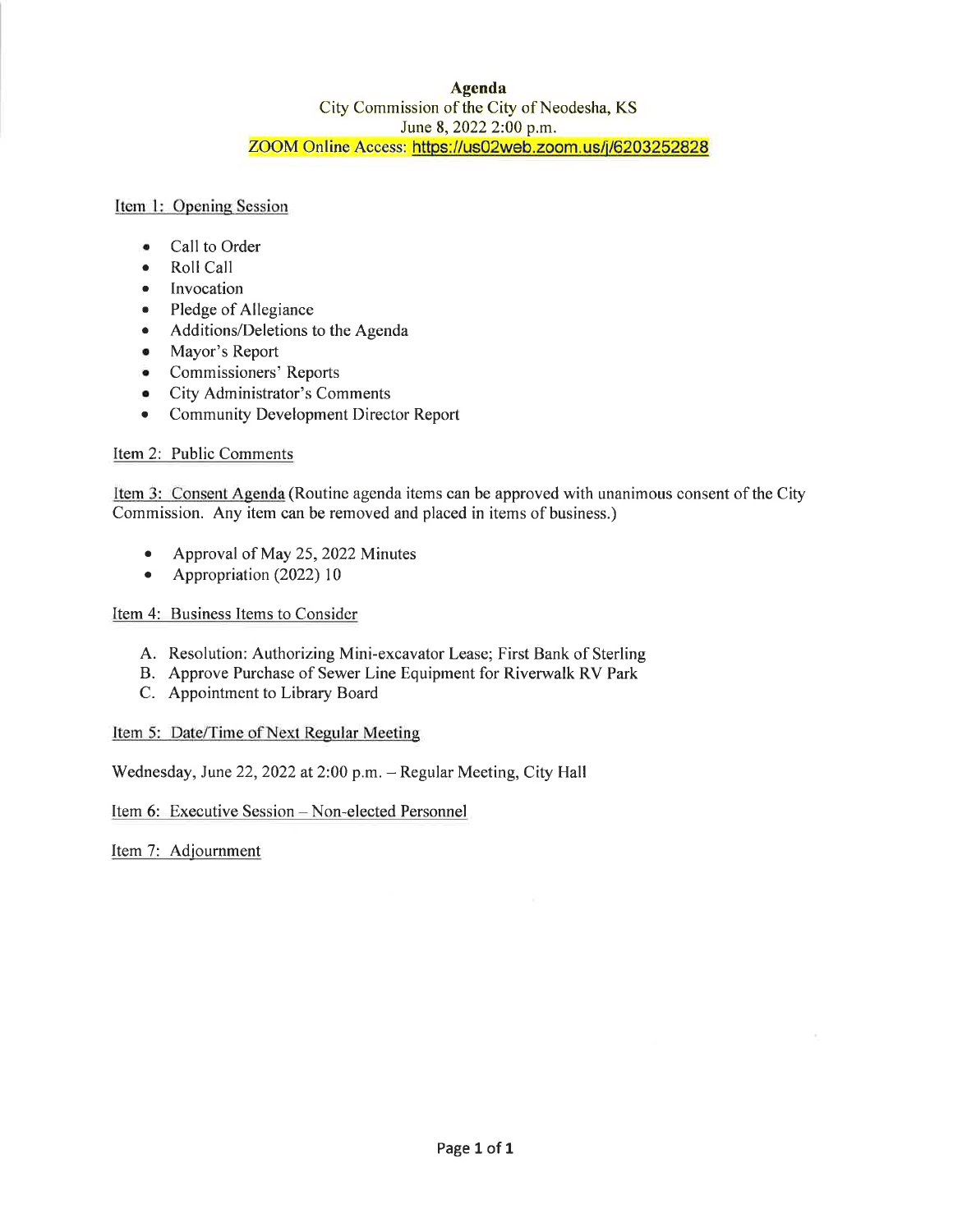#### **Agenda** City Commission of the City of Neodesha, KS June 8, 2022 2:00 p.m. ZOOM Online Access: https://us02web.zoom.us/j/6203252828

Item 1: Opening Session

- Call to Order  $\bullet$
- Roll Call  $\bullet$
- Invocation  $\bullet$
- Pledge of Allegiance  $\bullet$
- Additions/Deletions to the Agenda  $\bullet$
- Mayor's Report  $\bullet$
- Commissioners' Reports
- City Administrator's Comments  $\bullet$
- **Community Development Director Report**  $\bullet$

#### Item 2: Public Comments

Item 3: Consent Agenda (Routine agenda items can be approved with unanimous consent of the City Commission. Any item can be removed and placed in items of business.)

- $\bullet$ Approval of May 25, 2022 Minutes
- Appropriation  $(2022) 10$

#### Item 4: Business Items to Consider

- A. Resolution: Authorizing Mini-excavator Lease; First Bank of Sterling
- B. Approve Purchase of Sewer Line Equipment for Riverwalk RV Park
- C. Appointment to Library Board

#### Item 5: Date/Time of Next Regular Meeting

Wednesday, June 22, 2022 at 2:00 p.m. - Regular Meeting, City Hall

Item 6: Executive Session - Non-elected Personnel

Item 7: Adjournment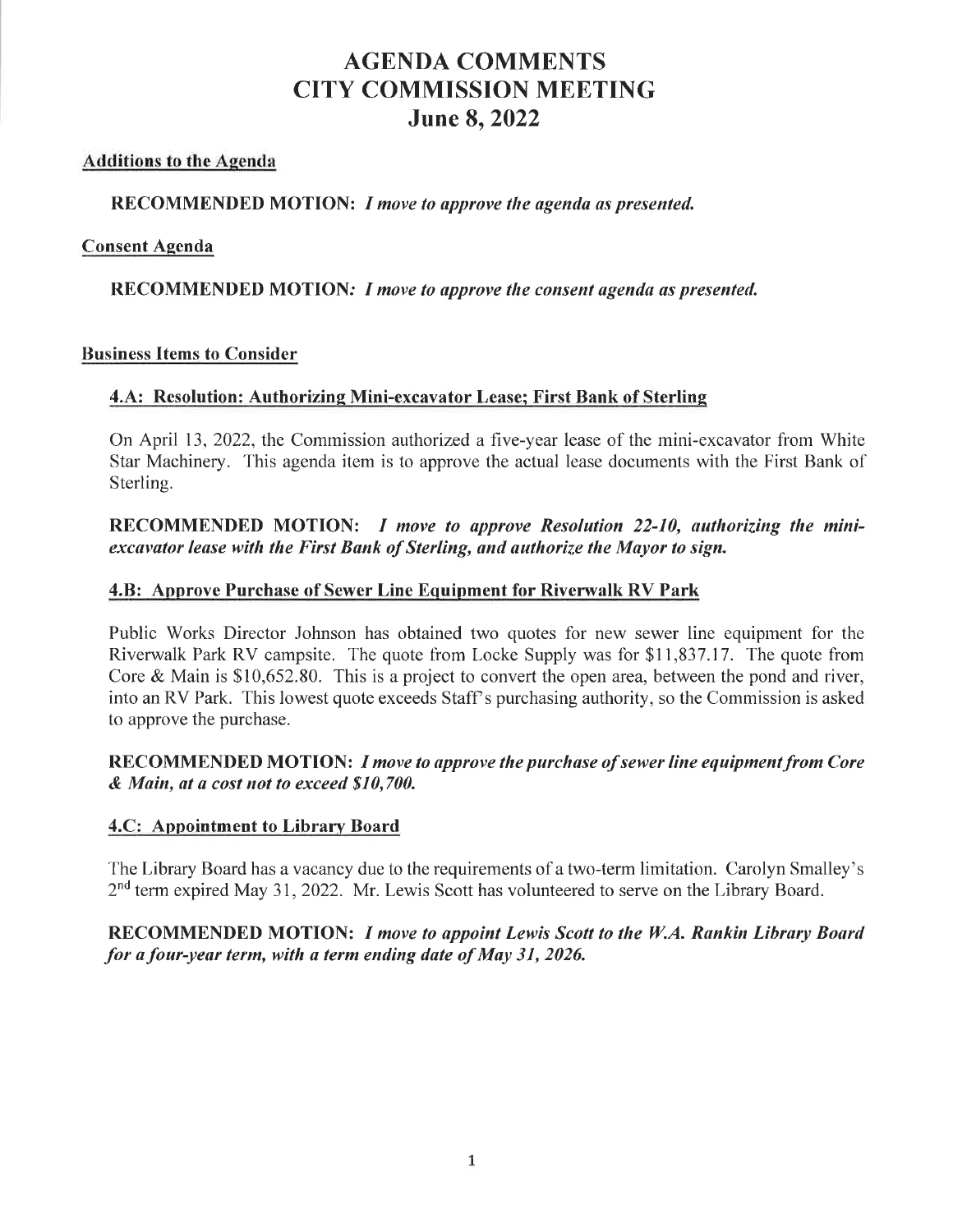## **AGENDA COMMENTS CITY COMMISSION MEETING June 8, 2022**

## **Additions to the Agenda**

## RECOMMENDED MOTION: I move to approve the agenda as presented.

#### **Consent Agenda**

## RECOMMENDED MOTION: I move to approve the consent agenda as presented.

#### **Business Items to Consider**

## 4.A: Resolution: Authorizing Mini-excavator Lease; First Bank of Sterling

On April 13, 2022, the Commission authorized a five-year lease of the mini-excavator from White Star Machinery. This agenda item is to approve the actual lease documents with the First Bank of Sterling.

RECOMMENDED MOTION: *I move to approve Resolution 22-10*, authorizing the miniexcavator lease with the First Bank of Sterling, and authorize the Mayor to sign.

## **4.B: Approve Purchase of Sewer Line Equipment for Riverwalk RV Park**

Public Works Director Johnson has obtained two quotes for new sewer line equipment for the Riverwalk Park RV campsite. The quote from Locke Supply was for \$11,837.17. The quote from Core & Main is  $$10,652.80$ . This is a project to convert the open area, between the pond and river, into an RV Park. This lowest quote exceeds Staff's purchasing authority, so the Commission is asked to approve the purchase.

## RECOMMENDED MOTION: I move to approve the purchase of sewer line equipment from Core & Main, at a cost not to exceed \$10,700.

## 4.C: Appointment to Library Board

The Library Board has a vacancy due to the requirements of a two-term limitation. Carolyn Smalley's  $2<sup>nd</sup>$  term expired May 31, 2022. Mr. Lewis Scott has volunteered to serve on the Library Board.

## RECOMMENDED MOTION: I move to appoint Lewis Scott to the W.A. Rankin Library Board for a four-year term, with a term ending date of May 31, 2026.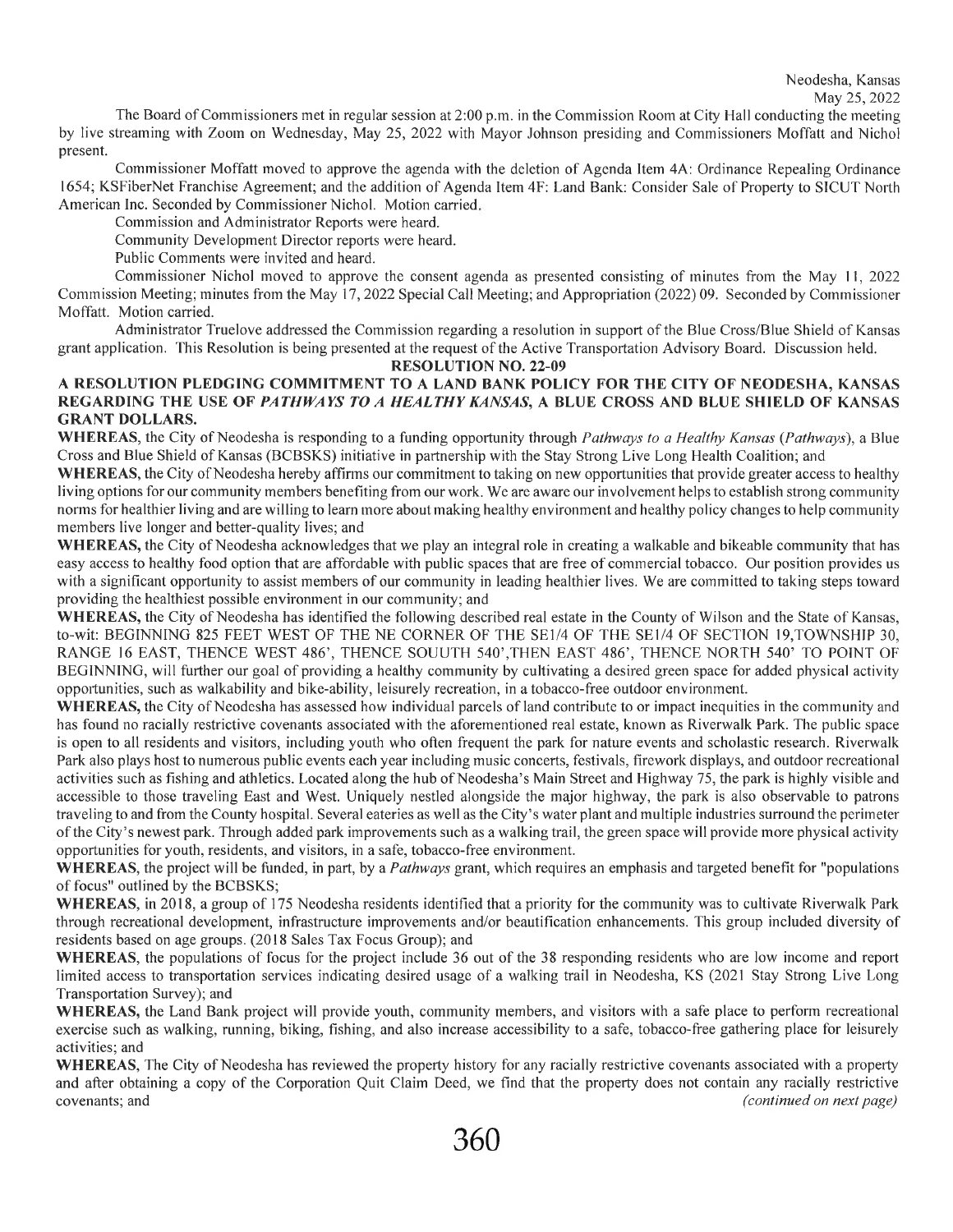The Board of Commissioners met in regular session at 2:00 p.m. in the Commission Room at City Hall conducting the meeting by live streaming with Zoom on Wednesday, May 25, 2022 with Mayor Johnson presiding and Commissioners Moffatt and Nichol present.

Commissioner Moffatt moved to approve the agenda with the deletion of Agenda Item 4A: Ordinance Repealing Ordinance 1654; KSFiberNet Franchise Agreement; and the addition of Agenda Item 4F: Land Bank: Consider Sale of Property to SICUT North American Inc. Seconded by Commissioner Nichol. Motion carried.

Commission and Administrator Reports were heard.

Community Development Director reports were heard.

Public Comments were invited and heard.

Commissioner Nichol moved to approve the consent agenda as presented consisting of minutes from the May 11, 2022 Commission Meeting; minutes from the May 17, 2022 Special Call Meeting; and Appropriation (2022) 09. Seconded by Commissioner Moffatt. Motion carried.

Administrator Truelove addressed the Commission regarding a resolution in support of the Blue Cross/Blue Shield of Kansas grant application. This Resolution is being presented at the request of the Active Transportation Advisory Board. Discussion held.

**RESOLUTION NO. 22-09** 

#### A RESOLUTION PLEDGING COMMITMENT TO A LAND BANK POLICY FOR THE CITY OF NEODESHA, KANSAS REGARDING THE USE OF PATHWAYS TO A HEALTHY KANSAS, A BLUE CROSS AND BLUE SHIELD OF KANSAS **GRANT DOLLARS.**

WHEREAS, the City of Neodesha is responding to a funding opportunity through Pathways to a Healthy Kansas (Pathways), a Blue Cross and Blue Shield of Kansas (BCBSKS) initiative in partnership with the Stay Strong Live Long Health Coalition; and

WHEREAS, the City of Neodesha hereby affirms our commitment to taking on new opportunities that provide greater access to healthy living options for our community members benefiting from our work. We are aware our involvement helps to establish strong community norms for healthier living and are willing to learn more about making healthy environment and healthy policy changes to help community members live longer and better-quality lives; and

WHEREAS, the City of Neodesha acknowledges that we play an integral role in creating a walkable and bikeable community that has easy access to healthy food option that are affordable with public spaces that are free of commercial tobacco. Our position provides us with a significant opportunity to assist members of our community in leading healthier lives. We are committed to taking steps toward providing the healthiest possible environment in our community; and

WHEREAS, the City of Neodesha has identified the following described real estate in the County of Wilson and the State of Kansas, to-wit: BEGINNING 825 FEET WEST OF THE NE CORNER OF THE SE1/4 OF THE SE1/4 OF SECTION 19, TOWNSHIP 30, RANGE 16 EAST, THENCE WEST 486', THENCE SOUUTH 540', THEN EAST 486', THENCE NORTH 540' TO POINT OF BEGINNING, will further our goal of providing a healthy community by cultivating a desired green space for added physical activity opportunities, such as walkability and bike-ability, leisurely recreation, in a tobacco-free outdoor environment.

WHEREAS, the City of Neodesha has assessed how individual parcels of land contribute to or impact inequities in the community and has found no racially restrictive covenants associated with the aforementioned real estate, known as Riverwalk Park. The public space is open to all residents and visitors, including youth who often frequent the park for nature events and scholastic research. Riverwalk Park also plays host to numerous public events each year including music concerts, festivals, firework displays, and outdoor recreational activities such as fishing and athletics. Located along the hub of Neodesha's Main Street and Highway 75, the park is highly visible and accessible to those traveling East and West. Uniquely nestled alongside the major highway, the park is also observable to patrons traveling to and from the County hospital. Several eateries as well as the City's water plant and multiple industries surround the perimeter of the City's newest park. Through added park improvements such as a walking trail, the green space will provide more physical activity opportunities for youth, residents, and visitors, in a safe, tobacco-free environment.

**WHEREAS**, the project will be funded, in part, by a *Pathways* grant, which requires an emphasis and targeted benefit for "populations" of focus" outlined by the BCBSKS;

WHEREAS, in 2018, a group of 175 Neodesha residents identified that a priority for the community was to cultivate Riverwalk Park through recreational development, infrastructure improvements and/or beautification enhancements. This group included diversity of residents based on age groups. (2018 Sales Tax Focus Group); and

WHEREAS, the populations of focus for the project include 36 out of the 38 responding residents who are low income and report limited access to transportation services indicating desired usage of a walking trail in Neodesha, KS (2021 Stay Strong Live Long Transportation Survey); and

WHEREAS, the Land Bank project will provide youth, community members, and visitors with a safe place to perform recreational exercise such as walking, running, biking, fishing, and also increase accessibility to a safe, tobacco-free gathering place for leisurely activities; and

**WHEREAS**, The City of Neodesha has reviewed the property history for any racially restrictive covenants associated with a property and after obtaining a copy of the Corporation Quit Claim Deed, we find that the property does not contain any racially restrictive (continued on next page) covenants; and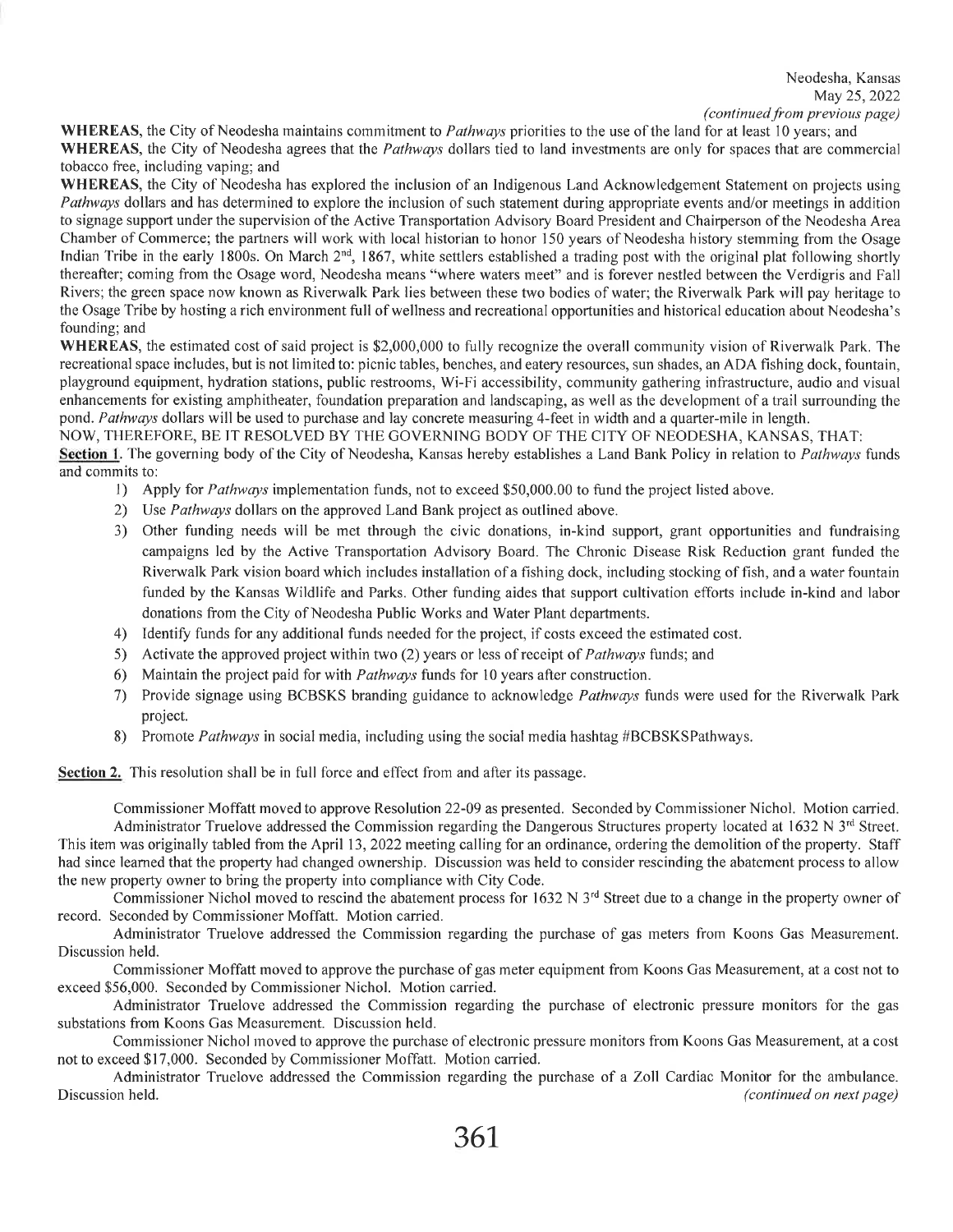WHEREAS, the City of Neodesha maintains commitment to *Pathways* priorities to the use of the land for at least 10 years; and WHEREAS, the City of Neodesha agrees that the *Pathways* dollars tied to land investments are only for spaces that are commercial tobacco free, including vaping; and

WHEREAS, the City of Neodesha has explored the inclusion of an Indigenous Land Acknowledgement Statement on projects using Pathways dollars and has determined to explore the inclusion of such statement during appropriate events and/or meetings in addition to signage support under the supervision of the Active Transportation Advisory Board President and Chairperson of the Neodesha Area Chamber of Commerce; the partners will work with local historian to honor 150 years of Neodesha history stemming from the Osage Indian Tribe in the early 1800s. On March 2<sup>nd</sup>, 1867, white settlers established a trading post with the original plat following shortly thereafter; coming from the Osage word, Neodesha means "where waters meet" and is forever nestled between the Verdigris and Fall Rivers; the green space now known as Riverwalk Park lies between these two bodies of water; the Riverwalk Park will pay heritage to the Osage Tribe by hosting a rich environment full of wellness and recreational opportunities and historical education about Neodesha's founding; and

WHEREAS, the estimated cost of said project is \$2,000,000 to fully recognize the overall community vision of Riverwalk Park. The recreational space includes, but is not limited to: picnic tables, benches, and eatery resources, sun shades, an ADA fishing dock, fountain, playground equipment, hydration stations, public restrooms, Wi-Fi accessibility, community gathering infrastructure, audio and visual enhancements for existing amphitheater, foundation preparation and landscaping, as well as the development of a trail surrounding the pond. Pathways dollars will be used to purchase and lay concrete measuring 4-feet in width and a quarter-mile in length.

NOW, THEREFORE, BE IT RESOLVED BY THE GOVERNING BODY OF THE CITY OF NEODESHA, KANSAS, THAT:

Section 1. The governing body of the City of Neodesha, Kansas hereby establishes a Land Bank Policy in relation to Pathways funds and commits to:

- 1) Apply for *Pathways* implementation funds, not to exceed \$50,000.00 to fund the project listed above.
- 2) Use Pathways dollars on the approved Land Bank project as outlined above.
- 3) Other funding needs will be met through the civic donations, in-kind support, grant opportunities and fundraising campaigns led by the Active Transportation Advisory Board. The Chronic Disease Risk Reduction grant funded the Riverwalk Park vision board which includes installation of a fishing dock, including stocking of fish, and a water fountain funded by the Kansas Wildlife and Parks. Other funding aides that support cultivation efforts include in-kind and labor donations from the City of Neodesha Public Works and Water Plant departments.
- 4) Identify funds for any additional funds needed for the project, if costs exceed the estimated cost.
- 5) Activate the approved project within two (2) years or less of receipt of *Pathways* funds; and
- 6) Maintain the project paid for with *Pathways* funds for 10 years after construction.
- 7) Provide signage using BCBSKS branding guidance to acknowledge Pathways funds were used for the Riverwalk Park project.
- Promote Pathways in social media, including using the social media hashtag #BCBSKSPathways. 8)

Section 2. This resolution shall be in full force and effect from and after its passage.

Commissioner Moffatt moved to approve Resolution 22-09 as presented. Seconded by Commissioner Nichol. Motion carried. Administrator Truelove addressed the Commission regarding the Dangerous Structures property located at 1632 N  $3<sup>rd</sup>$  Street. This item was originally tabled from the April 13, 2022 meeting calling for an ordinance, ordering the demolition of the property. Staff had since learned that the property had changed ownership. Discussion was held to consider rescinding the abatement process to allow the new property owner to bring the property into compliance with City Code.

Commissioner Nichol moved to rescind the abatement process for 1632 N 3<sup>rd</sup> Street due to a change in the property owner of record. Seconded by Commissioner Moffatt. Motion carried.

Administrator Truelove addressed the Commission regarding the purchase of gas meters from Koons Gas Measurement. Discussion held.

Commissioner Moffatt moved to approve the purchase of gas meter equipment from Koons Gas Measurement, at a cost not to exceed \$56,000. Seconded by Commissioner Nichol. Motion carried.

Administrator Truelove addressed the Commission regarding the purchase of electronic pressure monitors for the gas substations from Koons Gas Measurement. Discussion held.

Commissioner Nichol moved to approve the purchase of electronic pressure monitors from Koons Gas Measurement, at a cost not to exceed \$17,000. Seconded by Commissioner Moffatt. Motion carried.

Administrator Truelove addressed the Commission regarding the purchase of a Zoll Cardiac Monitor for the ambulance. Discussion held. (continued on next page)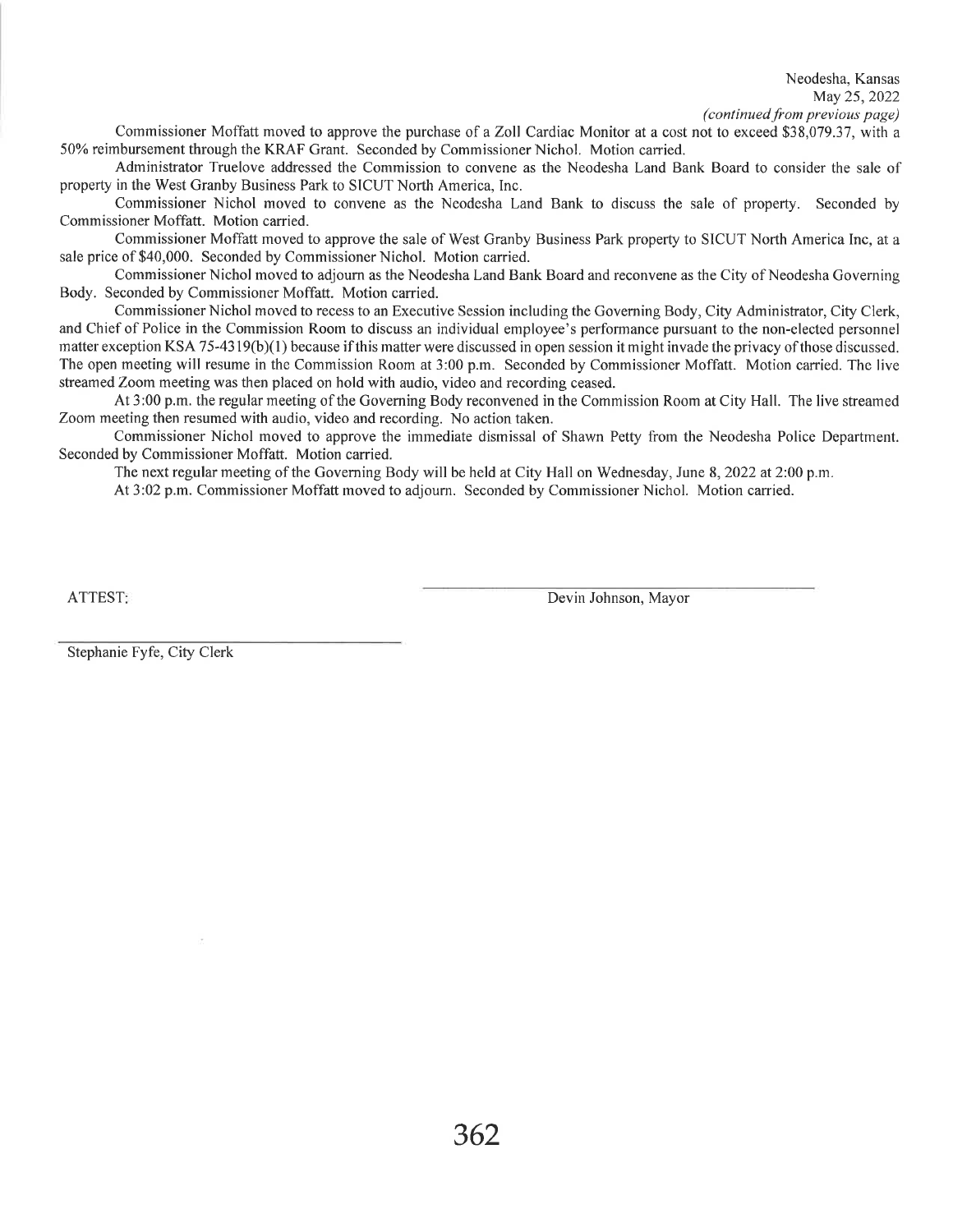Neodesha, Kansas May 25, 2022 (continued from previous page)

Commissioner Moffatt moved to approve the purchase of a Zoll Cardiac Monitor at a cost not to exceed \$38,079.37, with a 50% reimbursement through the KRAF Grant. Seconded by Commissioner Nichol. Motion carried.

Administrator Truelove addressed the Commission to convene as the Neodesha Land Bank Board to consider the sale of property in the West Granby Business Park to SICUT North America, Inc.

Commissioner Nichol moved to convene as the Neodesha Land Bank to discuss the sale of property. Seconded by Commissioner Moffatt. Motion carried.

Commissioner Moffatt moved to approve the sale of West Granby Business Park property to SICUT North America Inc, at a sale price of \$40,000. Seconded by Commissioner Nichol. Motion carried.

Commissioner Nichol moved to adjourn as the Neodesha Land Bank Board and reconvene as the City of Neodesha Governing Body. Seconded by Commissioner Moffatt. Motion carried.

Commissioner Nichol moved to recess to an Executive Session including the Governing Body, City Administrator, City Clerk, and Chief of Police in the Commission Room to discuss an individual employee's performance pursuant to the non-elected personnel matter exception KSA 75-4319(b)(1) because if this matter were discussed in open session it might invade the privacy of those discussed. The open meeting will resume in the Commission Room at 3:00 p.m. Seconded by Commissioner Moffatt. Motion carried. The live streamed Zoom meeting was then placed on hold with audio, video and recording ceased.

At 3:00 p.m. the regular meeting of the Governing Body reconvened in the Commission Room at City Hall. The live streamed Zoom meeting then resumed with audio, video and recording. No action taken.

Commissioner Nichol moved to approve the immediate dismissal of Shawn Petty from the Neodesha Police Department. Seconded by Commissioner Moffatt. Motion carried.

The next regular meeting of the Governing Body will be held at City Hall on Wednesday, June 8, 2022 at 2:00 p.m.

At 3:02 p.m. Commissioner Moffatt moved to adjourn. Seconded by Commissioner Nichol. Motion carried.

**ATTEST:** 

Devin Johnson, Mayor

Stephanie Fyfe, City Clerk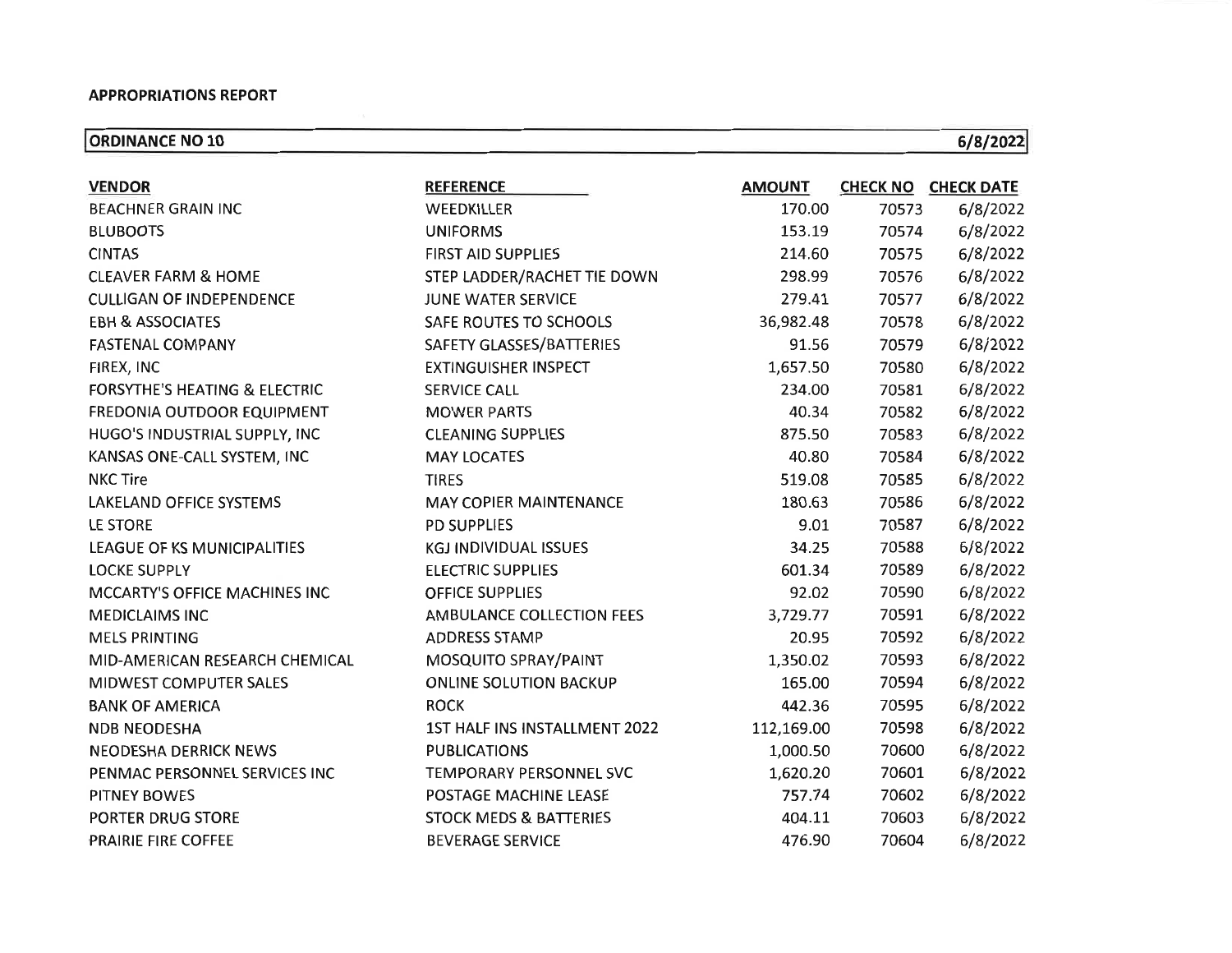**ORDINANCE NO 10** 

 $6/8/2022$ 

| <b>VENDOR</b>                            | <b>REFERENCE</b>                  | <b>AMOUNT</b> |       | <b>CHECK NO CHECK DATE</b> |
|------------------------------------------|-----------------------------------|---------------|-------|----------------------------|
| <b>BEACHNER GRAIN INC</b>                | WEEDKILLER                        | 170.00        | 70573 | 6/8/2022                   |
| <b>BLUBOOTS</b>                          | <b>UNIFORMS</b>                   | 153.19        | 70574 | 6/8/2022                   |
| <b>CINTAS</b>                            | <b>FIRST AID SUPPLIES</b>         | 214.60        | 70575 | 6/8/2022                   |
| <b>CLEAVER FARM &amp; HOME</b>           | STEP LADDER/RACHET TIE DOWN       | 298.99        | 70576 | 6/8/2022                   |
| <b>CULLIGAN OF INDEPENDENCE</b>          | JUNE WATER SERVICE                | 279.41        | 70577 | 6/8/2022                   |
| <b>EBH &amp; ASSOCIATES</b>              | SAFE ROUTES TO SCHOOLS            | 36,982.48     | 70578 | 6/8/2022                   |
| <b>FASTENAL COMPANY</b>                  | SAFETY GLASSES/BATTERIES          | 91.56         | 70579 | 6/8/2022                   |
| FIREX, INC                               | <b>EXTINGUISHER INSPECT</b>       | 1,657.50      | 70580 | 6/8/2022                   |
| <b>FORSYTHE'S HEATING &amp; ELECTRIC</b> | <b>SERVICE CALL</b>               | 234.00        | 70581 | 6/8/2022                   |
| FREDONIA OUTDOOR EQUIPMENT               | <b>MOWER PARTS</b>                | 40.34         | 70582 | 6/8/2022                   |
| HUGO'S INDUSTRIAL SUPPLY, INC            | <b>CLEANING SUPPLIES</b>          | 875.50        | 70583 | 6/8/2022                   |
| KANSAS ONE-CALL SYSTEM, INC              | <b>MAY LOCATES</b>                | 40.80         | 70584 | 6/8/2022                   |
| <b>NKC Tire</b>                          | <b>TIRES</b>                      | 519.08        | 70585 | 6/8/2022                   |
| <b>LAKELAND OFFICE SYSTEMS</b>           | <b>MAY COPIER MAINTENANCE</b>     | 180.63        | 70586 | 6/8/2022                   |
| LE STORE                                 | <b>PD SUPPLIES</b>                | 9.01          | 70587 | 6/8/2022                   |
| LEAGUE OF KS MUNICIPALITIES              | <b>KGJ INDIVIDUAL ISSUES</b>      | 34.25         | 70588 | 6/8/2022                   |
| <b>LOCKE SUPPLY</b>                      | <b>ELECTRIC SUPPLIES</b>          | 601.34        | 70589 | 6/8/2022                   |
| MCCARTY'S OFFICE MACHINES INC            | <b>OFFICE SUPPLIES</b>            | 92.02         | 70590 | 6/8/2022                   |
| <b>MEDICLAIMS INC</b>                    | AMBULANCE COLLECTION FEES         | 3,729.77      | 70591 | 6/8/2022                   |
| <b>MELS PRINTING</b>                     | <b>ADDRESS STAMP</b>              | 20.95         | 70592 | 6/8/2022                   |
| MID-AMERICAN RESEARCH CHEMICAL           | MOSQUITO SPRAY/PAINT              | 1,350.02      | 70593 | 6/8/2022                   |
| MIDWEST COMPUTER SALES                   | <b>ONLINE SOLUTION BACKUP</b>     | 165.00        | 70594 | 6/8/2022                   |
| <b>BANK OF AMERICA</b>                   | <b>ROCK</b>                       | 442.36        | 70595 | 6/8/2022                   |
| <b>NDB NEODESHA</b>                      | 1ST HALF INS INSTALLMENT 2022     | 112,169.00    | 70598 | 6/8/2022                   |
| <b>NEODESHA DERRICK NEWS</b>             | <b>PUBLICATIONS</b>               | 1,000.50      | 70600 | 6/8/2022                   |
| PENMAC PERSONNEL SERVICES INC            | <b>TEMPORARY PERSONNEL SVC</b>    | 1,620.20      | 70601 | 6/8/2022                   |
| <b>PITNEY BOWES</b>                      | POSTAGE MACHINE LEASE             | 757.74        | 70602 | 6/8/2022                   |
| PORTER DRUG STORE                        | <b>STOCK MEDS &amp; BATTERIES</b> | 404.11        | 70603 | 6/8/2022                   |
| PRAIRIE FIRE COFFEE                      | <b>BEVERAGE SERVICE</b>           | 476.90        | 70604 | 6/8/2022                   |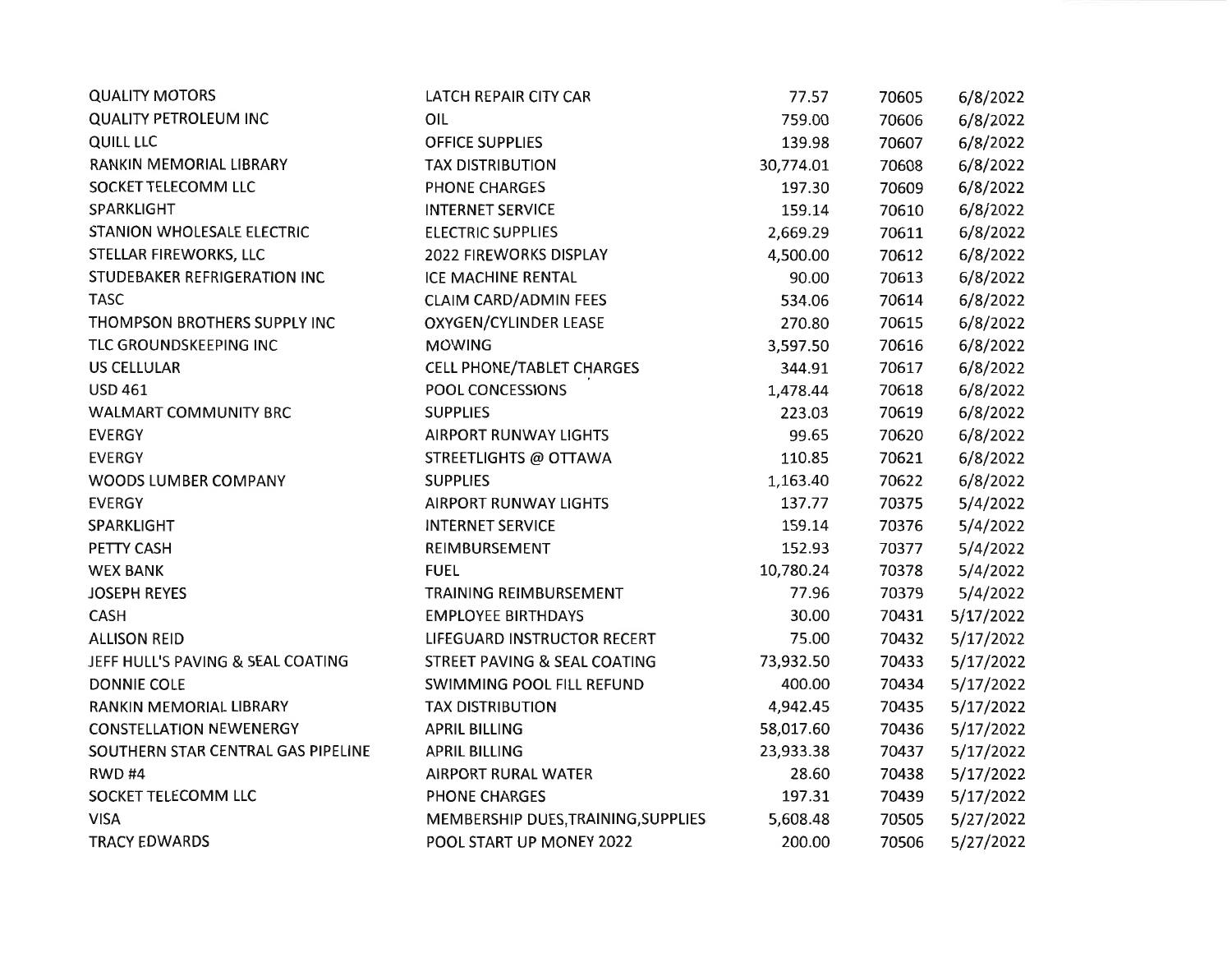| <b>QUALITY MOTORS</b>              | LATCH REPAIR CITY CAR               | 77.57     | 70605 | 6/8/2022  |
|------------------------------------|-------------------------------------|-----------|-------|-----------|
| <b>QUALITY PETROLEUM INC</b>       | OIL                                 | 759.00    | 70606 | 6/8/2022  |
| <b>QUILL LLC</b>                   | <b>OFFICE SUPPLIES</b>              | 139.98    | 70607 | 6/8/2022  |
| RANKIN MEMORIAL LIBRARY            | <b>TAX DISTRIBUTION</b>             | 30,774.01 | 70608 | 6/8/2022  |
| SOCKET TELECOMM LLC                | <b>PHONE CHARGES</b>                | 197.30    | 70609 | 6/8/2022  |
| SPARKLIGHT                         | <b>INTERNET SERVICE</b>             | 159.14    | 70610 | 6/8/2022  |
| <b>STANION WHOLESALE ELECTRIC</b>  | <b>ELECTRIC SUPPLIES</b>            | 2,669.29  | 70611 | 6/8/2022  |
| STELLAR FIREWORKS, LLC             | 2022 FIREWORKS DISPLAY              | 4,500.00  | 70612 | 6/8/2022  |
| STUDEBAKER REFRIGERATION INC       | <b>ICE MACHINE RENTAL</b>           | 90.00     | 70613 | 6/8/2022  |
| <b>TASC</b>                        | <b>CLAIM CARD/ADMIN FEES</b>        | 534.06    | 70614 | 6/8/2022  |
| THOMPSON BROTHERS SUPPLY INC       | <b>OXYGEN/CYLINDER LEASE</b>        | 270.80    | 70615 | 6/8/2022  |
| TLC GROUNDSKEEPING INC             | <b>MOWING</b>                       | 3,597.50  | 70616 | 6/8/2022  |
| <b>US CELLULAR</b>                 | CELL PHONE/TABLET CHARGES           | 344.91    | 70617 | 6/8/2022  |
| <b>USD 461</b>                     | POOL CONCESSIONS                    | 1,478.44  | 70618 | 6/8/2022  |
| WALMART COMMUNITY BRC              | <b>SUPPLIES</b>                     | 223.03    | 70619 | 6/8/2022  |
| <b>EVERGY</b>                      | AIRPORT RUNWAY LIGHTS               | 99.65     | 70620 | 6/8/2022  |
| <b>EVERGY</b>                      | STREETLIGHTS @ OTTAWA               | 110.85    | 70621 | 6/8/2022  |
| WOODS LUMBER COMPANY               | <b>SUPPLIES</b>                     | 1,163.40  | 70622 | 6/8/2022  |
| <b>EVERGY</b>                      | <b>AIRPORT RUNWAY LIGHTS</b>        | 137.77    | 70375 | 5/4/2022  |
| SPARKLIGHT                         | <b>INTERNET SERVICE</b>             | 159.14    | 70376 | 5/4/2022  |
| PETTY CASH                         | REIMBURSEMENT                       | 152.93    | 70377 | 5/4/2022  |
| <b>WEX BANK</b>                    | <b>FUEL</b>                         | 10,780.24 | 70378 | 5/4/2022  |
| <b>JOSEPH REYES</b>                | TRAINING REIMBURSEMENT              | 77.96     | 70379 | 5/4/2022  |
| <b>CASH</b>                        | <b>EMPLOYEE BIRTHDAYS</b>           | 30.00     | 70431 | 5/17/2022 |
| <b>ALLISON REID</b>                | LIFEGUARD INSTRUCTOR RECERT         | 75.00     | 70432 | 5/17/2022 |
| JEFF HULL'S PAVING & SEAL COATING  | STREET PAVING & SEAL COATING        | 73,932.50 | 70433 | 5/17/2022 |
| <b>DONNIE COLE</b>                 | SWIMMING POOL FILL REFUND           | 400.00    | 70434 | 5/17/2022 |
| RANKIN MEMORIAL LIBRARY            | <b>TAX DISTRIBUTION</b>             | 4,942.45  | 70435 | 5/17/2022 |
| <b>CONSTELLATION NEWENERGY</b>     | <b>APRIL BILLING</b>                | 58,017.60 | 70436 | 5/17/2022 |
| SOUTHERN STAR CENTRAL GAS PIPELINE | <b>APRIL BILLING</b>                | 23,933.38 | 70437 | 5/17/2022 |
| RWD#4                              | <b>AIRPORT RURAL WATER</b>          | 28.60     | 70438 | 5/17/2022 |
| SOCKET TELECOMM LLC                | <b>PHONE CHARGES</b>                | 197.31    | 70439 | 5/17/2022 |
| <b>VISA</b>                        | MEMBERSHIP DUES, TRAINING, SUPPLIES | 5,608.48  | 70505 | 5/27/2022 |
| <b>TRACY EDWARDS</b>               | POOL START UP MONEY 2022            | 200.00    | 70506 | 5/27/2022 |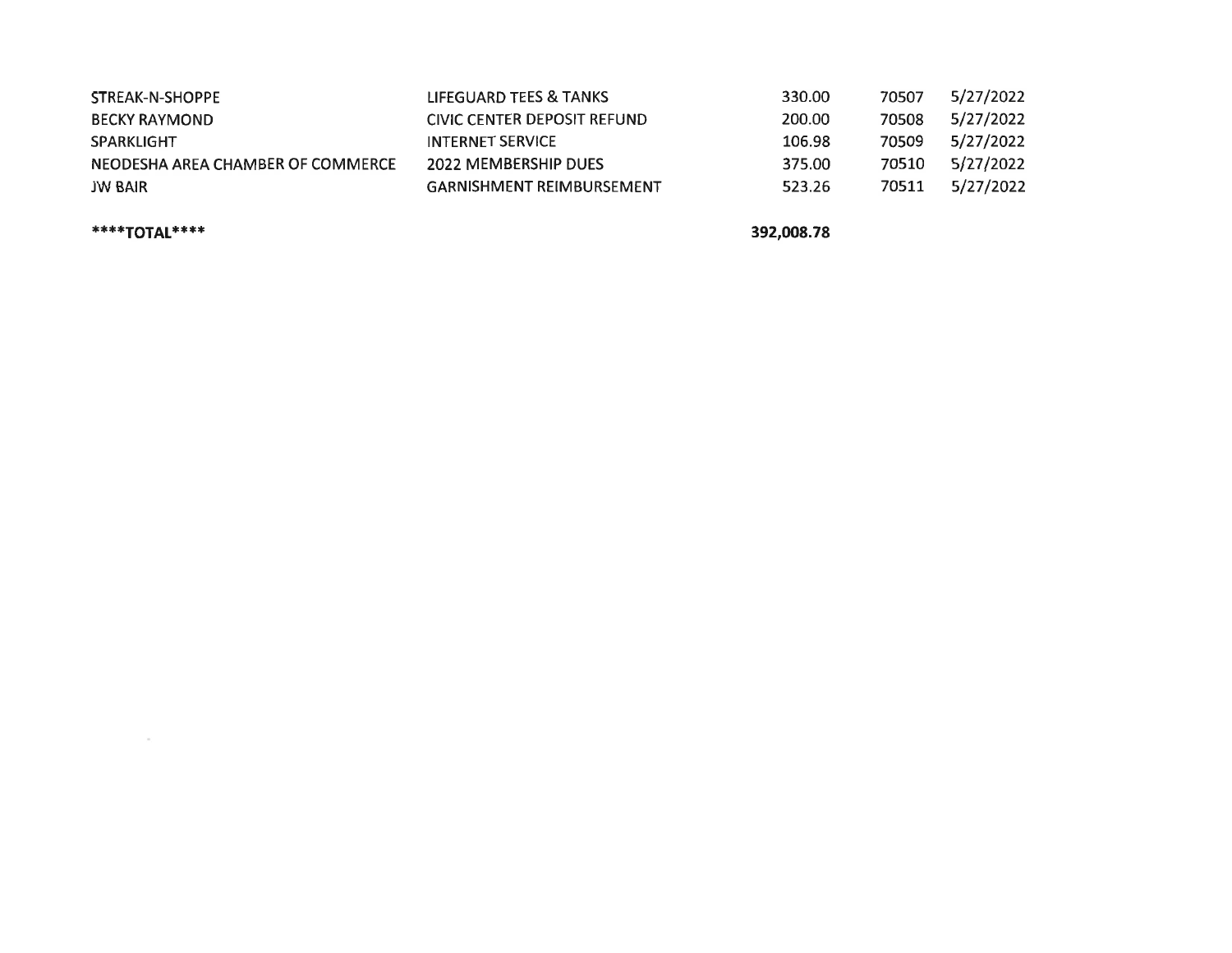| STREAK-N-SHOPPE                   | LIFEGUARD TEES & TANKS           | 330.00 | 70507 | 5/27/2022 |
|-----------------------------------|----------------------------------|--------|-------|-----------|
| BECKY RAYMOND                     | CIVIC CENTER DEPOSIT REFUND      | 200.00 | 70508 | 5/27/2022 |
| SPARKLIGHT                        | <b>INTERNET SERVICE</b>          | 106.98 | 70509 | 5/27/2022 |
| NEODESHA AREA CHAMBER OF COMMERCE | 2022 MEMBERSHIP DUES             | 375.00 | 70510 | 5/27/2022 |
| JW BAIR                           | <b>GARNISHMENT REIMBURSEMENT</b> | 523.26 | 70511 | 5/27/2022 |

\*\*\*\*TOTAL\*\*\*\*

 $\mu$ 

392,008.78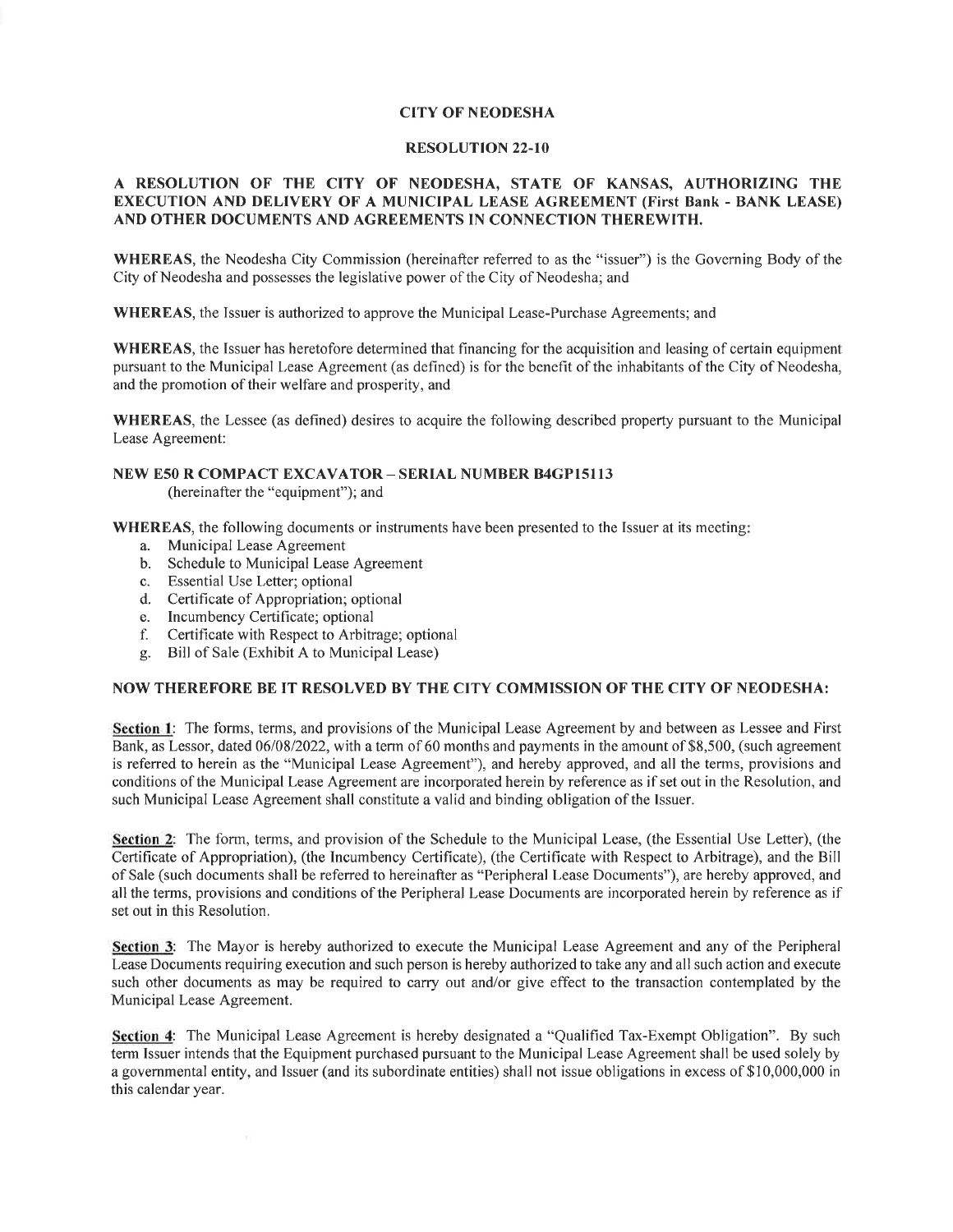#### **CITY OF NEODESHA**

#### **RESOLUTION 22-10**

#### A RESOLUTION OF THE CITY OF NEODESHA, STATE OF KANSAS, AUTHORIZING THE **EXECUTION AND DELIVERY OF A MUNICIPAL LEASE AGREEMENT (First Bank - BANK LEASE)** AND OTHER DOCUMENTS AND AGREEMENTS IN CONNECTION THEREWITH.

WHEREAS, the Neodesha City Commission (hereinafter referred to as the "issuer") is the Governing Body of the City of Neodesha and possesses the legislative power of the City of Neodesha; and

**WHEREAS**, the Issuer is authorized to approve the Municipal Lease-Purchase Agreements; and

**WHEREAS**, the Issuer has heretofore determined that financing for the acquisition and leasing of certain equipment pursuant to the Municipal Lease Agreement (as defined) is for the benefit of the inhabitants of the City of Neodesha, and the promotion of their welfare and prosperity, and

**WHEREAS**, the Lessee (as defined) desires to acquire the following described property pursuant to the Municipal Lease Agreement:

#### NEW E50 R COMPACT EXCAVATOR - SERIAL NUMBER B4GP15113

(hereinafter the "equipment"); and

**WHEREAS**, the following documents or instruments have been presented to the Issuer at its meeting.

- a. Municipal Lease Agreement
- b. Schedule to Municipal Lease Agreement
- c. Essential Use Letter; optional
- d. Certificate of Appropriation; optional
- e. Incumbency Certificate; optional
- f. Certificate with Respect to Arbitrage; optional
- g. Bill of Sale (Exhibit A to Municipal Lease)

#### NOW THEREFORE BE IT RESOLVED BY THE CITY COMMISSION OF THE CITY OF NEODESHA:

Section 1: The forms, terms, and provisions of the Municipal Lease Agreement by and between as Lessee and First Bank, as Lessor, dated 06/08/2022, with a term of 60 months and payments in the amount of \$8,500, (such agreement is referred to herein as the "Municipal Lease Agreement"), and hereby approved, and all the terms, provisions and conditions of the Municipal Lease Agreement are incorporated herein by reference as if set out in the Resolution, and such Municipal Lease Agreement shall constitute a valid and binding obligation of the Issuer.

Section 2: The form, terms, and provision of the Schedule to the Municipal Lease, (the Essential Use Letter), (the Certificate of Appropriation), (the Incumbency Certificate), (the Certificate with Respect to Arbitrage), and the Bill of Sale (such documents shall be referred to hereinafter as "Peripheral Lease Documents"), are hereby approved, and all the terms, provisions and conditions of the Peripheral Lease Documents are incorporated herein by reference as if set out in this Resolution.

Section 3: The Mayor is hereby authorized to execute the Municipal Lease Agreement and any of the Peripheral Lease Documents requiring execution and such person is hereby authorized to take any and all such action and execute such other documents as may be required to carry out and/or give effect to the transaction contemplated by the Municipal Lease Agreement.

Section 4: The Municipal Lease Agreement is hereby designated a "Qualified Tax-Exempt Obligation". By such term Issuer intends that the Equipment purchased pursuant to the Municipal Lease Agreement shall be used solely by a governmental entity, and Issuer (and its subordinate entities) shall not issue obligations in excess of \$10,000,000 in this calendar year.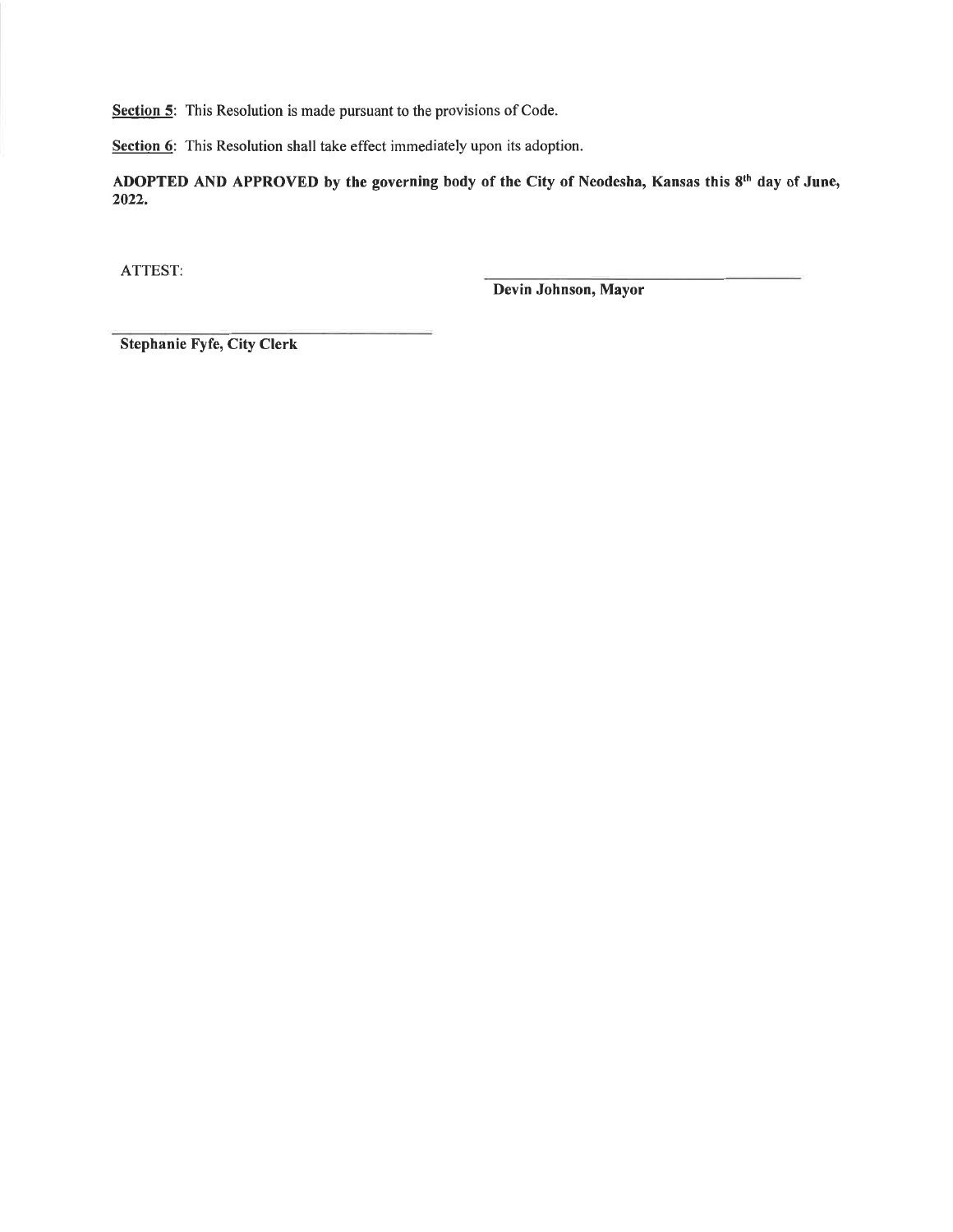Section 5: This Resolution is made pursuant to the provisions of Code.

Section 6: This Resolution shall take effect immediately upon its adoption.

ADOPTED AND APPROVED by the governing body of the City of Neodesha, Kansas this 8th day of June, 2022.

ATTEST:

Devin Johnson, Mayor

Stephanie Fyfe, City Clerk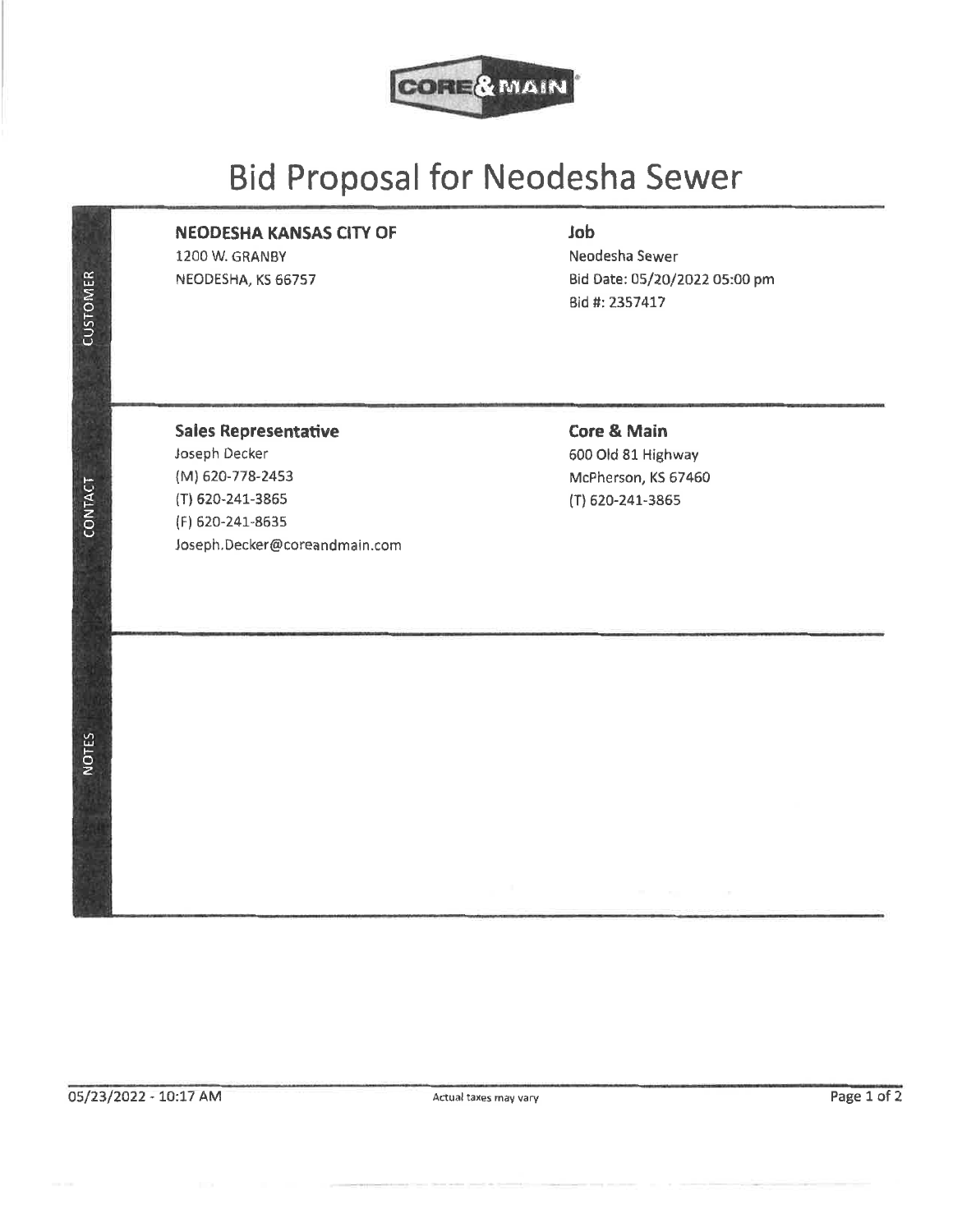

# **Bid Proposal for Neodesha Sewer**

## **NEODESHA KANSAS CITY OF**

1200 W. GRANBY NEODESHA, KS 66757

## Job

Neodesha Sewer Bid Date: 05/20/2022 05:00 pm Bid #: 2357417

**CONTACT** 

**NOTES** 

**CUSTOMER** 

## **Sales Representative**

Joseph Decker (M) 620-778-2453 (T) 620-241-3865 (F) 620-241-8635 Joseph.Decker@coreandmain.com

## **Core & Main**

600 Old 81 Highway McPherson, KS 67460 (T) 620-241-3865